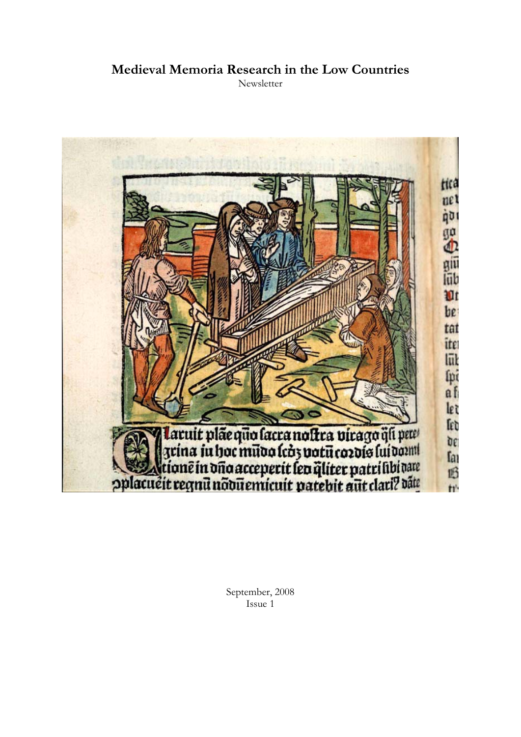# **Medieval Memoria Research in the Low Countries**

**Newsletter** 



September, 2008 Issue 1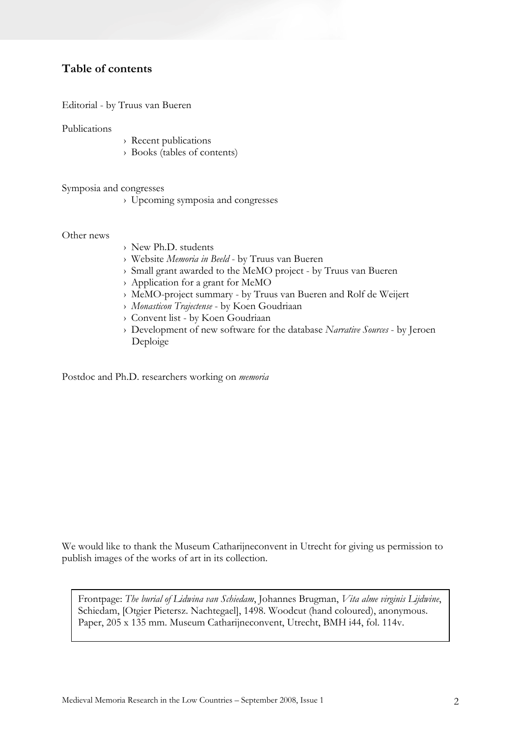# **Table of contents**

Editorial - by Truus van Bueren

Publications

- › Recent publications
- › Books (tables of contents)

Symposia and congresses

› Upcoming symposia and congresses

Other news

- › New Ph.D. students
- › Website *Memoria in Beeld* by Truus van Bueren
- › Small grant awarded to the MeMO project by Truus van Bueren
- › Application for a grant for MeMO
- › MeMO-project summary by Truus van Bueren and Rolf de Weijert
- › *Monasticon Trajectense* by Koen Goudriaan
- › Convent list by Koen Goudriaan
- › Development of new software for the database *Narrative Sources* by Jeroen Deploige

Postdoc and Ph.D. researchers working on *memoria*

We would like to thank the Museum Catharijneconvent in Utrecht for giving us permission to publish images of the works of art in its collection.

Frontpage: *The burial of Lidwina van Schiedam*, Johannes Brugman, *Vita alme virginis Lijdwine*, Schiedam, [Otgier Pietersz. Nachtegael], 1498. Woodcut (hand coloured), anonymous. Paper, 205 x 135 mm. Museum Catharijneconvent, Utrecht, BMH i44, fol. 114v.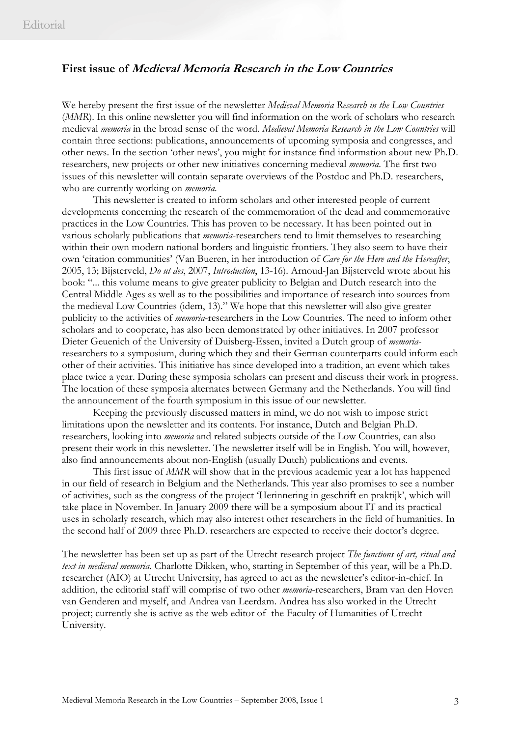# **First issue of Medieval Memoria Research in the Low Countries**

We hereby present the first issue of the newsletter *Medieval Memoria Research in the Low Countries*  (*MMR*). In this online newsletter you will find information on the work of scholars who research medieval *memoria* in the broad sense of the word. *Medieval Memoria Research in the Low Countries* will contain three sections: publications, announcements of upcoming symposia and congresses, and other news. In the section 'other news', you might for instance find information about new Ph.D. researchers, new projects or other new initiatives concerning medieval *memoria*. The first two issues of this newsletter will contain separate overviews of the Postdoc and Ph.D. researchers, who are currently working on *memoria*.

 This newsletter is created to inform scholars and other interested people of current developments concerning the research of the commemoration of the dead and commemorative practices in the Low Countries. This has proven to be necessary. It has been pointed out in various scholarly publications that *memoria*-researchers tend to limit themselves to researching within their own modern national borders and linguistic frontiers. They also seem to have their own 'citation communities' (Van Bueren, in her introduction of *Care for the Here and the Hereafter*, 2005, 13; Bijsterveld, *Do ut des*, 2007, *Introduction*, 13-16). Arnoud-Jan Bijsterveld wrote about his book: "... this volume means to give greater publicity to Belgian and Dutch research into the Central Middle Ages as well as to the possibilities and importance of research into sources from the medieval Low Countries (idem, 13)." We hope that this newsletter will also give greater publicity to the activities of *memoria*-researchers in the Low Countries. The need to inform other scholars and to cooperate, has also been demonstrated by other initiatives. In 2007 professor Dieter Geuenich of the University of Duisberg-Essen, invited a Dutch group of *memoria*researchers to a symposium, during which they and their German counterparts could inform each other of their activities. This initiative has since developed into a tradition, an event which takes place twice a year. During these symposia scholars can present and discuss their work in progress. The location of these symposia alternates between Germany and the Netherlands. You will find the announcement of the fourth symposium in this issue of our newsletter.

Keeping the previously discussed matters in mind, we do not wish to impose strict limitations upon the newsletter and its contents. For instance, Dutch and Belgian Ph.D. researchers, looking into *memoria* and related subjects outside of the Low Countries, can also present their work in this newsletter. The newsletter itself will be in English. You will, however, also find announcements about non-English (usually Dutch) publications and events.

 This first issue of *MMR* will show that in the previous academic year a lot has happened in our field of research in Belgium and the Netherlands. This year also promises to see a number of activities, such as the congress of the project 'Herinnering in geschrift en praktijk', which will take place in November. In January 2009 there will be a symposium about IT and its practical uses in scholarly research, which may also interest other researchers in the field of humanities. In the second half of 2009 three Ph.D. researchers are expected to receive their doctor's degree.

The newsletter has been set up as part of the Utrecht research project *The functions of art, ritual and text in medieval memoria*. Charlotte Dikken, who, starting in September of this year, will be a Ph.D. researcher (AIO) at Utrecht University, has agreed to act as the newsletter's editor-in-chief. In addition, the editorial staff will comprise of two other *memoria*-researchers, Bram van den Hoven van Genderen and myself, and Andrea van Leerdam. Andrea has also worked in the Utrecht project; currently she is active as the web editor of the Faculty of Humanities of Utrecht University.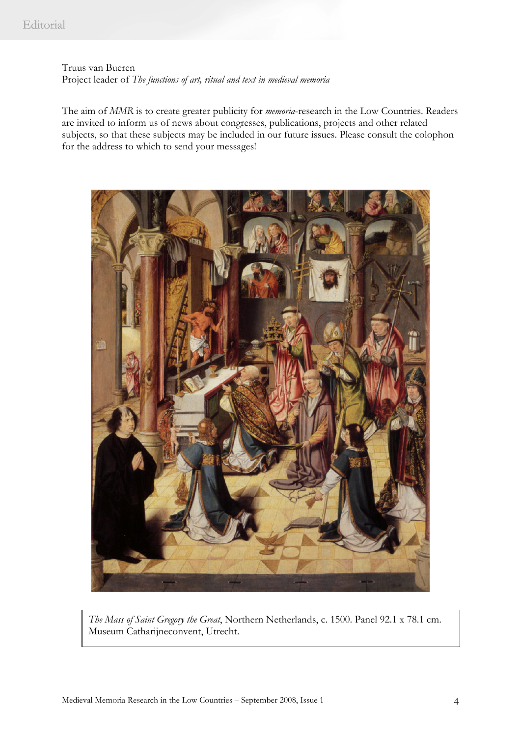Truus van Bueren Project leader of *The functions of art, ritual and text in medieval memoria* 

The aim of *MMR* is to create greater publicity for *memoria*-research in the Low Countries. Readers are invited to inform us of news about congresses, publications, projects and other related subjects, so that these subjects may be included in our future issues. Please consult the colophon for the address to which to send your messages!



*The Mass of Saint Gregory the Great*, Northern Netherlands, c. 1500. Panel 92.1 x 78.1 cm. Museum Catharijneconvent, Utrecht.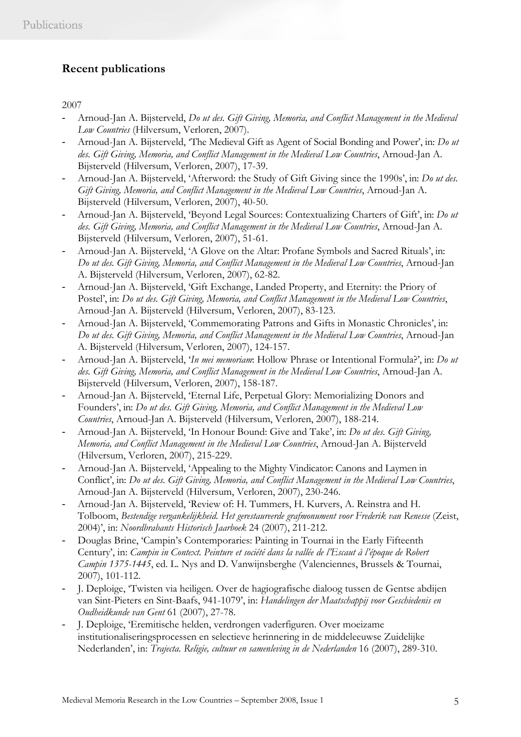# **Recent publications**

2007

- Arnoud-Jan A. Bijsterveld, *Do ut des. Gift Giving, Memoria, and Conflict Management in the Medieval Low Countries* (Hilversum, Verloren, 2007).
- Arnoud-Jan A. Bijsterveld, 'The Medieval Gift as Agent of Social Bonding and Power', in: *Do ut des. Gift Giving, Memoria, and Conflict Management in the Medieval Low Countries*, Arnoud-Jan A. Bijsterveld (Hilversum, Verloren, 2007), 17-39.
- Arnoud-Jan A. Bijsterveld, 'Afterword: the Study of Gift Giving since the 1990s', in: *Do ut des. Gift Giving, Memoria, and Conflict Management in the Medieval Low Countries*, Arnoud-Jan A. Bijsterveld (Hilversum, Verloren, 2007), 40-50.
- Arnoud-Jan A. Bijsterveld, 'Beyond Legal Sources: Contextualizing Charters of Gift', in: *Do ut des. Gift Giving, Memoria, and Conflict Management in the Medieval Low Countries*, Arnoud-Jan A. Bijsterveld (Hilversum, Verloren, 2007), 51-61.
- Arnoud-Jan A. Bijsterveld, 'A Glove on the Altar: Profane Symbols and Sacred Rituals', in: *Do ut des. Gift Giving, Memoria, and Conflict Management in the Medieval Low Countries*, Arnoud-Jan A. Bijsterveld (Hilversum, Verloren, 2007), 62-82.
- Arnoud-Jan A. Bijsterveld, 'Gift Exchange, Landed Property, and Eternity: the Priory of Postel', in: *Do ut des. Gift Giving, Memoria, and Conflict Management in the Medieval Low Countries*, Arnoud-Jan A. Bijsterveld (Hilversum, Verloren, 2007), 83-123.
- Arnoud-Jan A. Bijsterveld, 'Commemorating Patrons and Gifts in Monastic Chronicles', in: *Do ut des. Gift Giving, Memoria, and Conflict Management in the Medieval Low Countries*, Arnoud-Jan A. Bijsterveld (Hilversum, Verloren, 2007), 124-157.
- Arnoud-Jan A. Bijsterveld, '*In mei memoriam*: Hollow Phrase or Intentional Formula?', in: *Do ut des. Gift Giving, Memoria, and Conflict Management in the Medieval Low Countries*, Arnoud-Jan A. Bijsterveld (Hilversum, Verloren, 2007), 158-187.
- Arnoud-Jan A. Bijsterveld, 'Eternal Life, Perpetual Glory: Memorializing Donors and Founders', in: *Do ut des. Gift Giving, Memoria, and Conflict Management in the Medieval Low Countries*, Arnoud-Jan A. Bijsterveld (Hilversum, Verloren, 2007), 188-214.
- Arnoud-Jan A. Bijsterveld, 'In Honour Bound: Give and Take', in: *Do ut des. Gift Giving, Memoria, and Conflict Management in the Medieval Low Countries*, Arnoud-Jan A. Bijsterveld (Hilversum, Verloren, 2007), 215-229.
- Arnoud-Jan A. Bijsterveld, 'Appealing to the Mighty Vindicator: Canons and Laymen in Conflict', in: *Do ut des. Gift Giving, Memoria, and Conflict Management in the Medieval Low Countries*, Arnoud-Jan A. Bijsterveld (Hilversum, Verloren, 2007), 230-246.
- Arnoud-Jan A. Bijsterveld, 'Review of: H. Tummers, H. Kurvers, A. Reinstra and H. Tolboom, *Bestendige vergankelijkheid. Het gerestaureerde grafmonument voor Frederik van Renesse* (Zeist, 2004)', in: *Noordbrabants Historisch Jaarboek* 24 (2007), 211-212.
- Douglas Brine, 'Campin's Contemporaries: Painting in Tournai in the Early Fifteenth Century', in: *Campin in Context. Peinture et société dans la vallée de l'Escaut à l'époque de Robert Campin 1375-1445*, ed. L. Nys and D. Vanwijnsberghe (Valenciennes, Brussels & Tournai, 2007), 101-112.
- J. Deploige, 'Twisten via heiligen. Over de hagiografische dialoog tussen de Gentse abdijen van Sint-Pieters en Sint-Baafs, 941-1079', in: *Handelingen der Maatschappij voor Geschiedenis en Oudheidkunde van Gent* 61 (2007), 27-78.
- J. Deploige, 'Eremitische helden, verdrongen vaderfiguren. Over moeizame institutionaliseringsprocessen en selectieve herinnering in de middeleeuwse Zuidelijke Nederlanden', in: *Trajecta. Religie, cultuur en samenleving in de Nederlanden* 16 (2007), 289-310.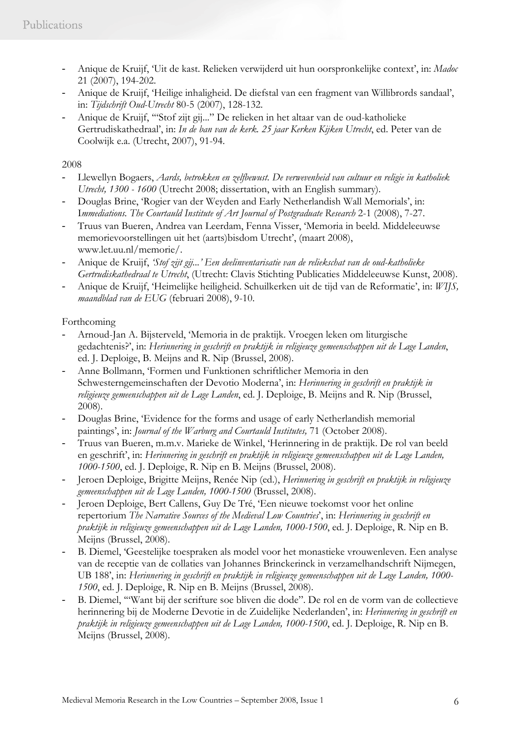- Anique de Kruijf, 'Uit de kast. Relieken verwijderd uit hun oorspronkelijke context', in: *Madoc* 21 (2007), 194-202.
- Anique de Kruijf, 'Heilige inhaligheid. De diefstal van een fragment van Willibrords sandaal', in: *Tijdschrift Oud-Utrecht* 80-5 (2007), 128-132.
- Anique de Kruijf, '"Stof zijt gij..." De relieken in het altaar van de oud-katholieke Gertrudiskathedraal', in: *In de ban van de kerk. 25 jaar Kerken Kijken Utrecht*, ed. Peter van de Coolwijk e.a. (Utrecht, 2007), 91-94.

# 2008

- Llewellyn Bogaers, *Aards, betrokken en zelfbewust. De verwevenheid van cultuur en religie in katholiek Utrecht, 1300 - 1600* (Utrecht 2008; dissertation, with an English summary).
- Douglas Brine, 'Rogier van der Weyden and Early Netherlandish Wall Memorials', in: I*mmediations. The Courtauld Institute of Art Journal of Postgraduate Research* 2-1 (2008), 7-27.
- Truus van Bueren, Andrea van Leerdam, Fenna Visser, 'Memoria in beeld. Middeleeuwse memorievoorstellingen uit het (aarts)bisdom Utrecht', (maart 2008), www.let.uu.nl/memorie/.
- Anique de Kruijf, *'Stof zijt gij...' Een deelinventarisatie van de reliekschat van de oud-katholieke Gertrudiskathedraal te Utrecht*, (Utrecht: Clavis Stichting Publicaties Middeleeuwse Kunst, 2008).
- Anique de Kruijf, 'Heimelijke heiligheid. Schuilkerken uit de tijd van de Reformatie', in: *WIJS, maandblad van de EUG* (februari 2008), 9-10.

# Forthcoming

- Arnoud-Jan A. Bijsterveld, 'Memoria in de praktijk. Vroegen leken om liturgische gedachtenis?', in: *Herinnering in geschrift en praktijk in religieuze gemeenschappen uit de Lage Landen*, ed. J. Deploige, B. Meijns and R. Nip (Brussel, 2008).
- Anne Bollmann, 'Formen und Funktionen schriftlicher Memoria in den Schwesterngemeinschaften der Devotio Moderna', in: *Herinnering in geschrift en praktijk in religieuze gemeenschappen uit de Lage Landen*, ed. J. Deploige, B. Meijns and R. Nip (Brussel, 2008).
- Douglas Brine, 'Evidence for the forms and usage of early Netherlandish memorial paintings', in: *Journal of the Warburg and Courtauld Institutes,* 71 (October 2008).
- Truus van Bueren, m.m.v. Marieke de Winkel, 'Herinnering in de praktijk. De rol van beeld en geschrift', in: *Herinnering in geschrift en praktijk in religieuze gemeenschappen uit de Lage Landen, 1000-1500*, ed. J. Deploige, R. Nip en B. Meijns (Brussel, 2008).
- Jeroen Deploige, Brigitte Meijns, Renée Nip (ed.), *Herinnering in geschrift en praktijk in religieuze gemeenschappen uit de Lage Landen, 1000-1500* (Brussel, 2008).
- Jeroen Deploige, Bert Callens, Guy De Tré, 'Een nieuwe toekomst voor het online repertorium *The Narrative Sources of the Medieval Low Countries*', in: *Herinnering in geschrift en praktijk in religieuze gemeenschappen uit de Lage Landen, 1000-1500*, ed. J. Deploige, R. Nip en B. Meijns (Brussel, 2008).
- B. Diemel, 'Geestelijke toespraken als model voor het monastieke vrouwenleven. Een analyse van de receptie van de collaties van Johannes Brinckerinck in verzamelhandschrift Nijmegen, UB 188', in: *Herinnering in geschrift en praktijk in religieuze gemeenschappen uit de Lage Landen, 1000- 1500*, ed. J. Deploige, R. Nip en B. Meijns (Brussel, 2008).
- B. Diemel, '"Want bij der scrifture soe bliven die dode". De rol en de vorm van de collectieve herinnering bij de Moderne Devotie in de Zuidelijke Nederlanden', in: *Herinnering in geschrift en praktijk in religieuze gemeenschappen uit de Lage Landen, 1000-1500*, ed. J. Deploige, R. Nip en B. Meijns (Brussel, 2008).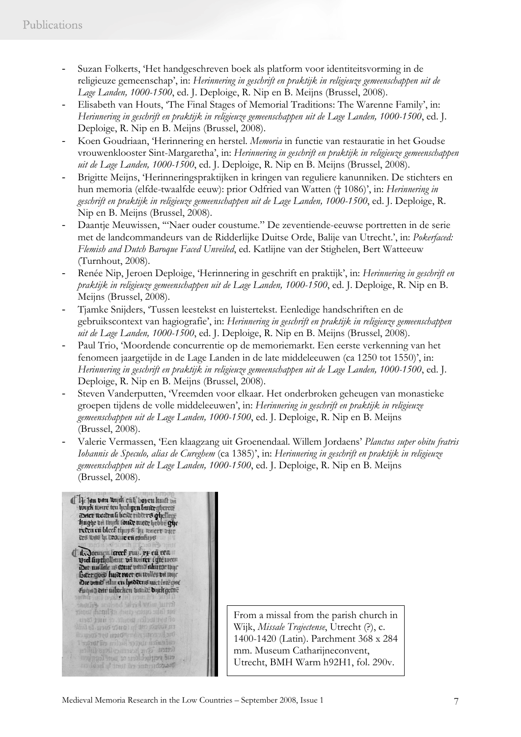- Suzan Folkerts, 'Het handgeschreven boek als platform voor identiteitsvorming in de religieuze gemeenschap', in: *Herinnering in geschrift en praktijk in religieuze gemeenschappen uit de Lage Landen, 1000-1500*, ed. J. Deploige, R. Nip en B. Meijns (Brussel, 2008).
- Elisabeth van Houts, 'The Final Stages of Memorial Traditions: The Warenne Family', in: *Herinnering in geschrift en praktijk in religieuze gemeenschappen uit de Lage Landen, 1000-1500*, ed. J. Deploige, R. Nip en B. Meijns (Brussel, 2008).
- Koen Goudriaan, 'Herinnering en herstel. *Memoria* in functie van restauratie in het Goudse vrouwenklooster Sint-Margaretha', in: *Herinnering in geschrift en praktijk in religieuze gemeenschappen uit de Lage Landen, 1000-1500*, ed. J. Deploige, R. Nip en B. Meijns (Brussel, 2008).
- Brigitte Meijns, 'Herinneringspraktijken in kringen van reguliere kanunniken. De stichters en hun memoria (elfde-twaalfde eeuw): prior Odfried van Watten († 1086)', in: *Herinnering in geschrift en praktijk in religieuze gemeenschappen uit de Lage Landen, 1000-1500*, ed. J. Deploige, R. Nip en B. Meijns (Brussel, 2008).
- Daantje Meuwissen, '"Naer ouder coustume." De zeventiende-eeuwse portretten in de serie met de landcommandeurs van de Ridderlijke Duitse Orde, Balije van Utrecht.', in: *Pokerfaced: Flemish and Dutch Baroque Faced Unveiled*, ed. Katlijne van der Stighelen, Bert Watteeuw (Turnhout, 2008).
- Renée Nip, Jeroen Deploige, 'Herinnering in geschrift en praktijk', in: *Herinnering in geschrift en praktijk in religieuze gemeenschappen uit de Lage Landen, 1000-1500*, ed. J. Deploige, R. Nip en B. Meijns (Brussel, 2008).
- Tjamke Snijders, 'Tussen leestekst en luistertekst. Eenledige handschriften en de gebruikscontext van hagiografie', in: *Herinnering in geschrift en praktijk in religieuze gemeenschappen uit de Lage Landen, 1000-1500*, ed. J. Deploige, R. Nip en B. Meijns (Brussel, 2008).
- Paul Trio, 'Moordende concurrentie op de memoriemarkt. Een eerste verkenning van het fenomeen jaargetijde in de Lage Landen in de late middeleeuwen (ca 1250 tot 1550)', in: *Herinnering in geschrift en praktijk in religieuze gemeenschappen uit de Lage Landen, 1000-1500*, ed. J. Deploige, R. Nip en B. Meijns (Brussel, 2008).
- Steven Vanderputten, 'Vreemden voor elkaar. Het onderbroken geheugen van monastieke groepen tijdens de volle middeleeuwen', in: *Herinnering in geschrift en praktijk in religieuze gemeenschappen uit de Lage Landen, 1000-1500*, ed. J. Deploige, R. Nip en B. Meijns (Brussel, 2008).
- Valerie Vermassen, 'Een klaagzang uit Groenendaal. Willem Jordaens' *Planctus super obitu fratris Iohannis de Speculo, alias de Cureghem* (ca 1385)', in: *Herinnering in geschrift en praktijk in religieuze gemeenschappen uit de Lage Landen, 1000-1500*, ed. J. Deploige, R. Nip en B. Meijns (Brussel, 2008).

Ji Jan vom wyck eith voyen kuut van wyck toore ten hedigen londer ghereae<br>wyck toore ten hedigen londer ghereae<br>aneer woden it beade ribberes ghellege<br>hughe vo turk toude uiete hebbe ghe reten en bleek thuys hu waert zier des was hi dedene en confirps Ta Joeugn Icreef pius pe en ceau Die venid eilm en haddens nuclate que Entre der nibeken benas duck gene and the color of the state of tat falu carter conte eFluridi und From a missal from the parish church in of byt the for them is the there are Wijk, *Missale Trajectense*, Utrecht (?), c. 1400-1420 (Latin). Parchment 368 x 284 mm. Museum Catharijneconvent, milin erai panad no auto מנוס פימון ולומני מו שמיר למחון ויוו Utrecht, BMH Warm h92H1, fol. 290v. manthimme en unt la healen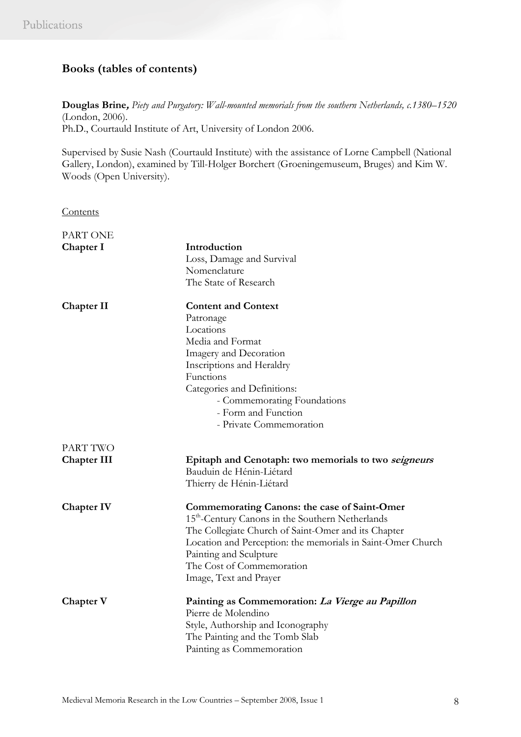# **Books (tables of contents)**

**Douglas Brine,** *Piety and Purgatory: Wall-mounted memorials from the southern Netherlands, c.1380–1520*  (London, 2006). Ph.D., Courtauld Institute of Art, University of London 2006.

Supervised by Susie Nash (Courtauld Institute) with the assistance of Lorne Campbell (National Gallery, London), examined by Till-Holger Borchert (Groeningemuseum, Bruges) and Kim W. Woods (Open University).

**Contents** 

| PART ONE           |                                                              |
|--------------------|--------------------------------------------------------------|
| Chapter I          | Introduction                                                 |
|                    | Loss, Damage and Survival                                    |
|                    | Nomenclature                                                 |
|                    | The State of Research                                        |
| <b>Chapter II</b>  | <b>Content and Context</b>                                   |
|                    | Patronage                                                    |
|                    | Locations                                                    |
|                    | Media and Format                                             |
|                    | Imagery and Decoration                                       |
|                    | Inscriptions and Heraldry                                    |
|                    | Functions                                                    |
|                    | Categories and Definitions:                                  |
|                    | - Commemorating Foundations                                  |
|                    | - Form and Function                                          |
|                    | - Private Commemoration                                      |
| PART TWO           |                                                              |
| <b>Chapter III</b> | Epitaph and Cenotaph: two memorials to two seigneurs         |
|                    | Bauduin de Hénin-Liétard                                     |
|                    | Thierry de Hénin-Liétard                                     |
| <b>Chapter IV</b>  | <b>Commemorating Canons: the case of Saint-Omer</b>          |
|                    | 15 <sup>th</sup> -Century Canons in the Southern Netherlands |
|                    | The Collegiate Church of Saint-Omer and its Chapter          |
|                    | Location and Perception: the memorials in Saint-Omer Church  |
|                    | Painting and Sculpture                                       |
|                    | The Cost of Commemoration                                    |
|                    | Image, Text and Prayer                                       |
| Chapter V          | Painting as Commemoration: La Vierge au Papillon             |
|                    | Pierre de Molendino                                          |
|                    | Style, Authorship and Iconography                            |
|                    | The Painting and the Tomb Slab                               |
|                    | Painting as Commemoration                                    |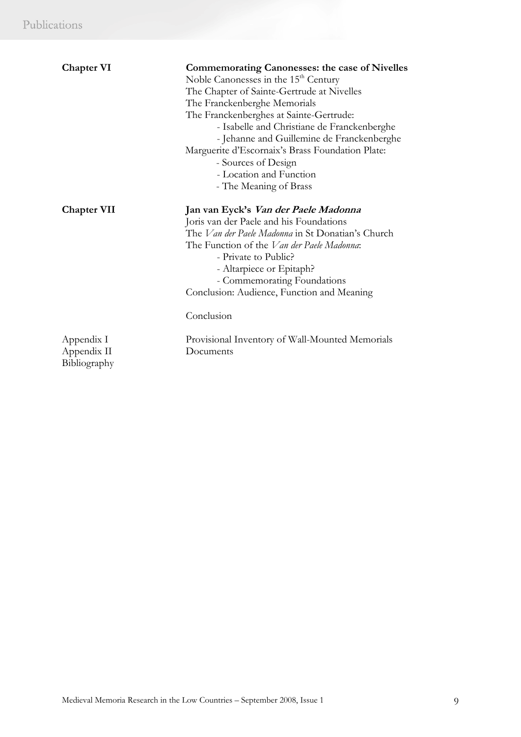| <b>Chapter VI</b>                         | <b>Commemorating Canonesses: the case of Nivelles</b><br>Noble Canonesses in the 15 <sup>th</sup> Century<br>The Chapter of Sainte-Gertrude at Nivelles<br>The Franckenberghe Memorials<br>The Franckenberghes at Sainte-Gertrude:<br>- Isabelle and Christiane de Franckenberghe<br>- Jehanne and Guillemine de Franckenberghe<br>Marguerite d'Escornaix's Brass Foundation Plate:<br>- Sources of Design<br>- Location and Function<br>- The Meaning of Brass |
|-------------------------------------------|-----------------------------------------------------------------------------------------------------------------------------------------------------------------------------------------------------------------------------------------------------------------------------------------------------------------------------------------------------------------------------------------------------------------------------------------------------------------|
| <b>Chapter VII</b>                        | Jan van Eyck's Van der Paele Madonna<br>Joris van der Paele and his Foundations<br>The <i>Van der Paele Madonna</i> in St Donatian's Church<br>The Function of the <i>Van der Paele Madonna</i> :<br>- Private to Public?<br>- Altarpiece or Epitaph?<br>- Commemorating Foundations<br>Conclusion: Audience, Function and Meaning<br>Conclusion                                                                                                                |
| Appendix I<br>Appendix II<br>Bibliography | Provisional Inventory of Wall-Mounted Memorials<br>Documents                                                                                                                                                                                                                                                                                                                                                                                                    |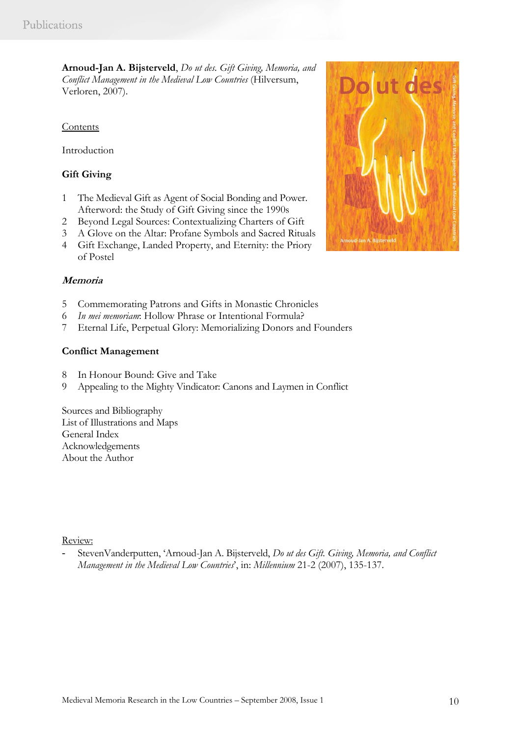**Arnoud-Jan A. Bijsterveld**, *Do ut des. Gift Giving, Memoria, and Conflict Management in the Medieval Low Countries* (Hilversum, Verloren, 2007).

# Contents

Introduction

# **Gift Giving**

- 1 The Medieval Gift as Agent of Social Bonding and Power. Afterword: the Study of Gift Giving since the 1990s
- 2 Beyond Legal Sources: Contextualizing Charters of Gift
- 3 A Glove on the Altar: Profane Symbols and Sacred Rituals
- 4 Gift Exchange, Landed Property, and Eternity: the Priory of Postel

## **Memoria**

- 5 Commemorating Patrons and Gifts in Monastic Chronicles
- 6 *In mei memoriam*: Hollow Phrase or Intentional Formula?
- 7 Eternal Life, Perpetual Glory: Memorializing Donors and Founders

## **Conflict Management**

- 8 In Honour Bound: Give and Take
- 9 Appealing to the Mighty Vindicator: Canons and Laymen in Conflict

Sources and Bibliography List of Illustrations and Maps General Index Acknowledgements About the Author

Review:

- StevenVanderputten, 'Arnoud-Jan A. Bijsterveld, *Do ut des Gift. Giving, Memoria, and Conflict Management in the Medieval Low Countries*', in: *Millennium* 21-2 (2007), 135-137.

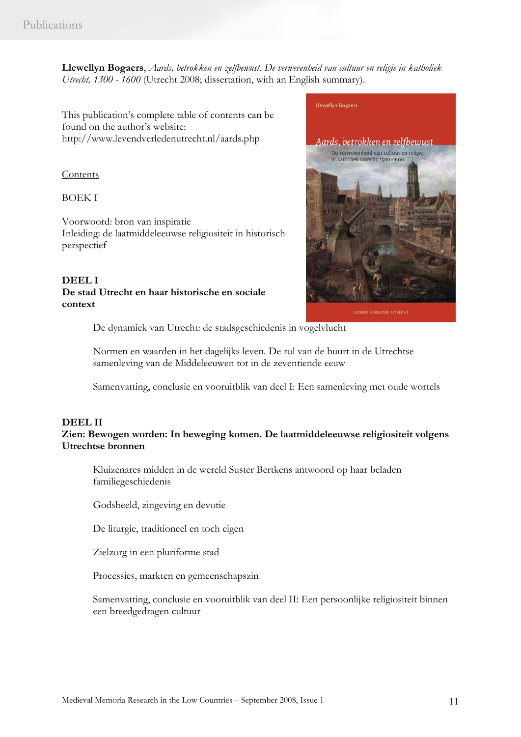**Llewellyn Bogaers**, *Aards, betrokken en zelfbewust. De verwevenheid van cultuur en religie in katholiek Utrecht, 1300 - 1600* (Utrecht 2008; dissertation, with an English summary).

This publication's complete table of contents can be found on the author's website: http://www.levendverledenutrecht.nl/aards.php

### Contents

BOEK I

Voorwoord: bron van inspiratie Inleiding: de laatmiddeleeuwse religiositeit in historisch perspectief

## **DEEL I De stad Utrecht en haar historische en sociale context**



De dynamiek van Utrecht: de stadsgeschiedenis in vogelvlucht

Normen en waarden in het dagelijks leven. De rol van de buurt in de Utrechtse samenleving van de Middeleeuwen tot in de zeventiende eeuw

Samenvatting, conclusie en vooruitblik van deel I: Een samenleving met oude wortels

# **DEEL II**

**Zien: Bewogen worden: In beweging komen. De laatmiddeleeuwse religiositeit volgens Utrechtse bronnen** 

Kluizenares midden in de wereld Suster Bertkens antwoord op haar beladen familiegeschiedenis

Godsbeeld, zingeving en devotie

De liturgie, traditioneel en toch eigen

Zielzorg in een pluriforme stad

Processies, markten en gemeenschapszin

Samenvatting, conclusie en vooruitblik van deel II: Een persoonlijke religiositeit binnen een breedgedragen cultuur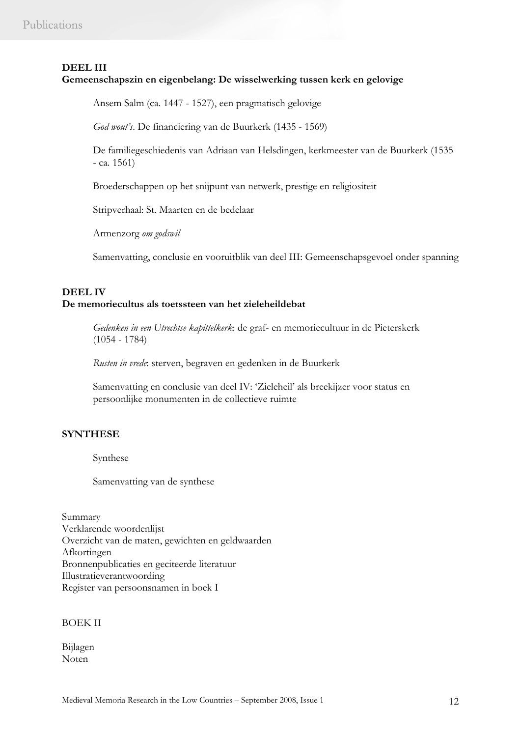# **DEEL III**

# **Gemeenschapszin en eigenbelang: De wisselwerking tussen kerk en gelovige**

Ansem Salm (ca. 1447 - 1527), een pragmatisch gelovige

*God wout's*. De financiering van de Buurkerk (1435 - 1569)

De familiegeschiedenis van Adriaan van Helsdingen, kerkmeester van de Buurkerk (1535  $-$  ca. 1561)

Broederschappen op het snijpunt van netwerk, prestige en religiositeit

Stripverhaal: St. Maarten en de bedelaar

Armenzorg *om godswil* 

Samenvatting, conclusie en vooruitblik van deel III: Gemeenschapsgevoel onder spanning

## **DEEL IV De memoriecultus als toetssteen van het zieleheildebat**

*Gedenken in een Utrechtse kapittelkerk*: de graf- en memoriecultuur in de Pieterskerk (1054 - 1784)

*Rusten in vrede*: sterven, begraven en gedenken in de Buurkerk

Samenvatting en conclusie van deel IV: 'Zieleheil' als breekijzer voor status en persoonlijke monumenten in de collectieve ruimte

# **SYNTHESE**

Synthese

Samenvatting van de synthese

Summary Verklarende woordenlijst Overzicht van de maten, gewichten en geldwaarden Afkortingen Bronnenpublicaties en geciteerde literatuur Illustratieverantwoording Register van persoonsnamen in boek I

# BOEK II

Bijlagen Noten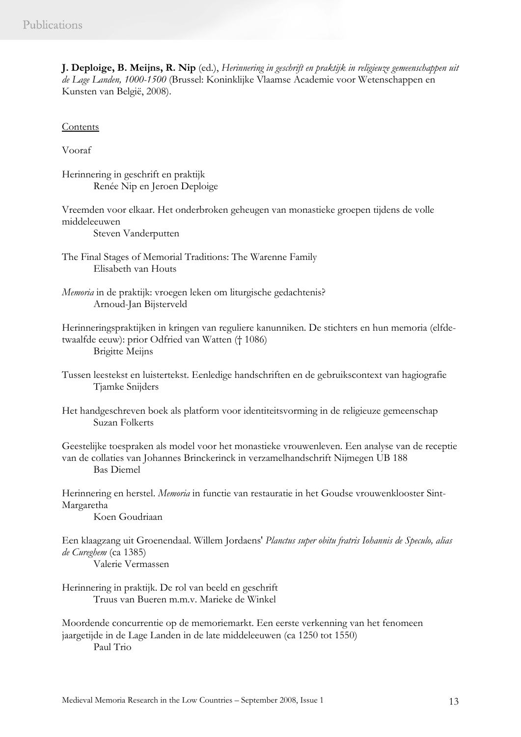**J. Deploige, B. Meijns, R. Nip** (ed.), *Herinnering in geschrift en praktijk in religieuze gemeenschappen uit de Lage Landen, 1000-1500* (Brussel: Koninklijke Vlaamse Academie voor Wetenschappen en Kunsten van België, 2008).

**Contents** 

Vooraf

Herinnering in geschrift en praktijk Renée Nip en Jeroen Deploige

Vreemden voor elkaar. Het onderbroken geheugen van monastieke groepen tijdens de volle middeleeuwen

Steven Vanderputten

The Final Stages of Memorial Traditions: The Warenne Family Elisabeth van Houts

*Memoria* in de praktijk: vroegen leken om liturgische gedachtenis? Arnoud-Jan Bijsterveld

Herinneringspraktijken in kringen van reguliere kanunniken. De stichters en hun memoria (elfdetwaalfde eeuw): prior Odfried van Watten († 1086) Brigitte Meijns

Tussen leestekst en luistertekst. Eenledige handschriften en de gebruikscontext van hagiografie Tjamke Snijders

Het handgeschreven boek als platform voor identiteitsvorming in de religieuze gemeenschap Suzan Folkerts

Geestelijke toespraken als model voor het monastieke vrouwenleven. Een analyse van de receptie van de collaties van Johannes Brinckerinck in verzamelhandschrift Nijmegen UB 188 Bas Diemel

Herinnering en herstel. *Memoria* in functie van restauratie in het Goudse vrouwenklooster Sint-Margaretha

Koen Goudriaan

Een klaagzang uit Groenendaal. Willem Jordaens' *Planctus super obitu fratris Iohannis de Speculo, alias de Cureghem* (ca 1385)

Valerie Vermassen

Herinnering in praktijk. De rol van beeld en geschrift Truus van Bueren m.m.v. Marieke de Winkel

Moordende concurrentie op de memoriemarkt. Een eerste verkenning van het fenomeen jaargetijde in de Lage Landen in de late middeleeuwen (ca 1250 tot 1550) Paul Trio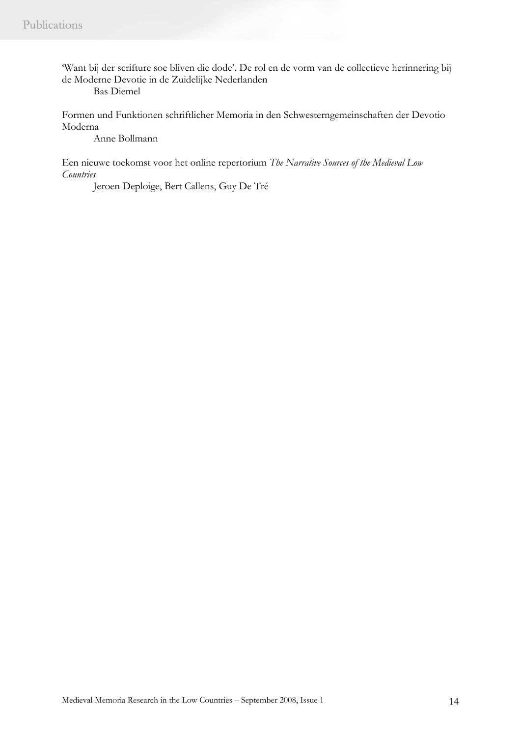'Want bij der scrifture soe bliven die dode'. De rol en de vorm van de collectieve herinnering bij de Moderne Devotie in de Zuidelijke Nederlanden

Bas Diemel

Formen und Funktionen schriftlicher Memoria in den Schwesterngemeinschaften der Devotio Moderna

Anne Bollmann

Een nieuwe toekomst voor het online repertorium *The Narrative Sources of the Medieval Low Countries*

Jeroen Deploige, Bert Callens, Guy De Tré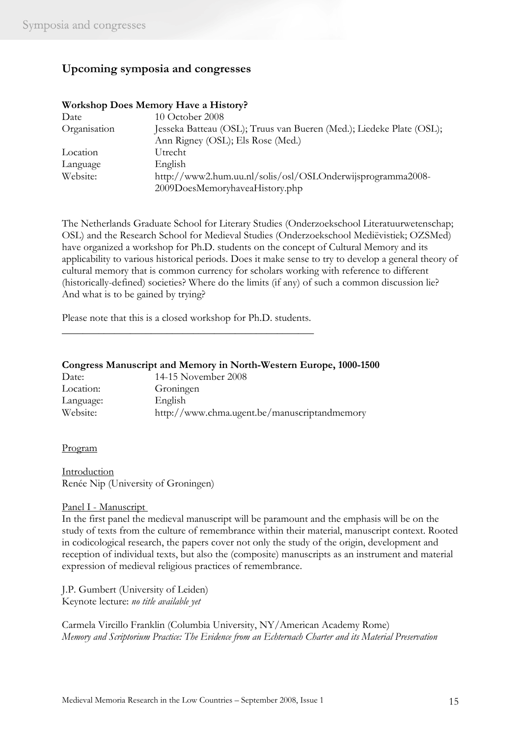# **Upcoming symposia and congresses**

# **Workshop Does Memory Have a History?**

| Date         | 10 October 2008                                                      |
|--------------|----------------------------------------------------------------------|
| Organisation | Jesseka Batteau (OSL); Truus van Bueren (Med.); Liedeke Plate (OSL); |
|              | Ann Rigney (OSL); Els Rose (Med.)                                    |
| Location     | Utrecht                                                              |
| Language     | English                                                              |
| Website:     | http://www2.hum.uu.nl/solis/osl/OSLOnderwijsprogramma2008-           |
|              | 2009DoesMemoryhaveaHistory.php                                       |

The Netherlands Graduate School for Literary Studies (Onderzoekschool Literatuurwetenschap; OSL) and the Research School for Medieval Studies (Onderzoekschool Mediëvistiek; OZSMed) have organized a workshop for Ph.D. students on the concept of Cultural Memory and its applicability to various historical periods. Does it make sense to try to develop a general theory of cultural memory that is common currency for scholars working with reference to different (historically-defined) societies? Where do the limits (if any) of such a common discussion lie? And what is to be gained by trying?

Please note that this is a closed workshop for Ph.D. students. \_\_\_\_\_\_\_\_\_\_\_\_\_\_\_\_\_\_\_\_\_\_\_\_\_\_\_\_\_\_\_\_\_\_\_\_\_\_\_\_\_\_\_\_\_\_\_\_

## **Congress Manuscript and Memory in North-Western Europe, 1000-1500**

| Date:     | 14-15 November 2008                          |
|-----------|----------------------------------------------|
| Location: | Groningen                                    |
| Language: | English                                      |
| Website:  | http://www.chma.ugent.be/manuscriptandmemory |

#### Program

Introduction Renée Nip (University of Groningen)

# Panel I - Manuscript

In the first panel the medieval manuscript will be paramount and the emphasis will be on the study of texts from the culture of remembrance within their material, manuscript context. Rooted in codicological research, the papers cover not only the study of the origin, development and reception of individual texts, but also the (composite) manuscripts as an instrument and material expression of medieval religious practices of remembrance.

J.P. Gumbert (University of Leiden) Keynote lecture: *no title available yet*

Carmela Vircillo Franklin (Columbia University, NY/American Academy Rome) *Memory and Scriptorium Practice: The Evidence from an Echternach Charter and its Material Preservation*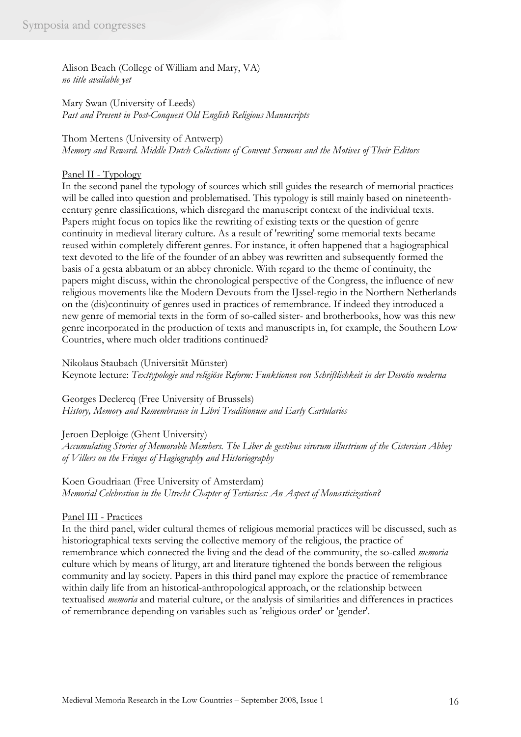Alison Beach (College of William and Mary, VA) *no title available yet*

Mary Swan (University of Leeds) *Past and Present in Post-Conquest Old English Religious Manuscripts*

Thom Mertens (University of Antwerp) *Memory and Reward. Middle Dutch Collections of Convent Sermons and the Motives of Their Editors*

# Panel II - Typology

In the second panel the typology of sources which still guides the research of memorial practices will be called into question and problematised. This typology is still mainly based on nineteenthcentury genre classifications, which disregard the manuscript context of the individual texts. Papers might focus on topics like the rewriting of existing texts or the question of genre continuity in medieval literary culture. As a result of 'rewriting' some memorial texts became reused within completely different genres. For instance, it often happened that a hagiographical text devoted to the life of the founder of an abbey was rewritten and subsequently formed the basis of a gesta abbatum or an abbey chronicle. With regard to the theme of continuity, the papers might discuss, within the chronological perspective of the Congress, the influence of new religious movements like the Modern Devouts from the IJssel-regio in the Northern Netherlands on the (dis)continuity of genres used in practices of remembrance. If indeed they introduced a new genre of memorial texts in the form of so-called sister- and brotherbooks, how was this new genre incorporated in the production of texts and manuscripts in, for example, the Southern Low Countries, where much older traditions continued?

Nikolaus Staubach (Universität Münster) Keynote lecture: *Texttypologie und religiöse Reform: Funktionen von Schriftlichkeit in der Devotio moderna*

Georges Declercq (Free University of Brussels) *History, Memory and Remembrance in Libri Traditionum and Early Cartularies*

# Jeroen Deploige (Ghent University)

*Accumulating Stories of Memorable Members. The Liber de gestibus virorum illustrium of the Cistercian Abbey of Villers on the Fringes of Hagiography and Historiography*

Koen Goudriaan (Free University of Amsterdam) *Memorial Celebration in the Utrecht Chapter of Tertiaries: An Aspect of Monasticization?*

# Panel III - Practices

In the third panel, wider cultural themes of religious memorial practices will be discussed, such as historiographical texts serving the collective memory of the religious, the practice of remembrance which connected the living and the dead of the community, the so-called *memoria* culture which by means of liturgy, art and literature tightened the bonds between the religious community and lay society. Papers in this third panel may explore the practice of remembrance within daily life from an historical-anthropological approach, or the relationship between textualised *memoria* and material culture, or the analysis of similarities and differences in practices of remembrance depending on variables such as 'religious order' or 'gender'.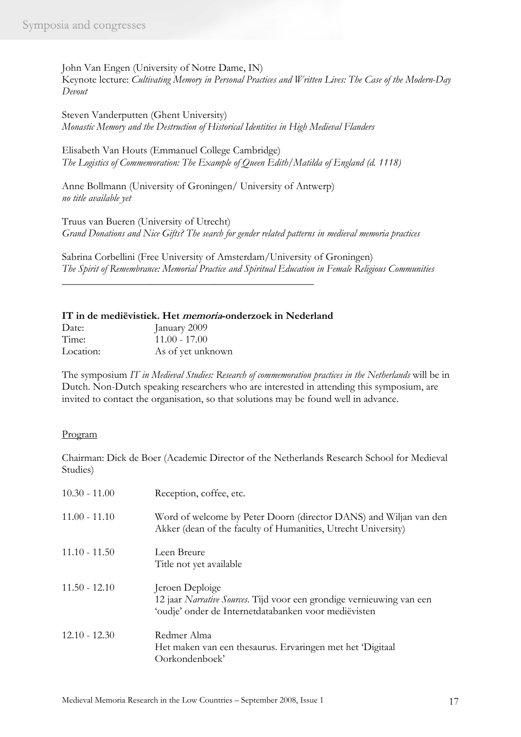John Van Engen (University of Notre Dame, IN) Keynote lecture: *Cultivating Memory in Personal Practices and Written Lives: The Case of the Modern-Day Devout*

Steven Vanderputten (Ghent University) *Monastic Memory and the Destruction of Historical Identities in High Medieval Flanders*

Elisabeth Van Houts (Emmanuel College Cambridge) *The Logistics of Commemoration: The Example of Queen Edith/Matilda of England (d. 1118)*

Anne Bollmann (University of Groningen/ University of Antwerp) *no title available yet*

Truus van Bueren (University of Utrecht) *Grand Donations and Nice Gifts? The search for gender related patterns in medieval memoria practices*

Sabrina Corbellini (Free University of Amsterdam/University of Groningen) *The Spirit of Remembrance: Memorial Practice and Spiritual Education in Female Religious Communities*

| IT in de mediëvistiek. Het <i>memoria</i> -onderzoek in Nederland |
|-------------------------------------------------------------------|
|-------------------------------------------------------------------|

\_\_\_\_\_\_\_\_\_\_\_\_\_\_\_\_\_\_\_\_\_\_\_\_\_\_\_\_\_\_\_\_\_\_\_\_\_\_\_\_\_\_\_\_\_\_\_\_

| Date:     | January 2009      |
|-----------|-------------------|
| Time:     | $11.00 - 17.00$   |
| Location: | As of yet unknown |

The symposium *IT in Medieval Studies: Research of commemoration practices in the Netherlands* will be in Dutch. Non-Dutch speaking researchers who are interested in attending this symposium, are invited to contact the organisation, so that solutions may be found well in advance.

# Program

Chairman: Dick de Boer (Academic Director of the Netherlands Research School for Medieval Studies)

| $10.30 - 11.00$ | Reception, coffee, etc.                                                                                                                          |
|-----------------|--------------------------------------------------------------------------------------------------------------------------------------------------|
| $11.00 - 11.10$ | Word of welcome by Peter Doorn (director DANS) and Wiljan van den<br>Akker (dean of the faculty of Humanities, Utrecht University)               |
| $11.10 - 11.50$ | Leen Breure<br>Title not yet available                                                                                                           |
| $11.50 - 12.10$ | Jeroen Deploige<br>12 jaar Narrative Sources. Tijd voor een grondige vernieuwing van een<br>'oudje' onder de Internetdatabanken voor mediëvisten |
| $12.10 - 12.30$ | Redmer Alma<br>Het maken van een thesaurus. Ervaringen met het 'Digitaal<br>Oorkondenboek'                                                       |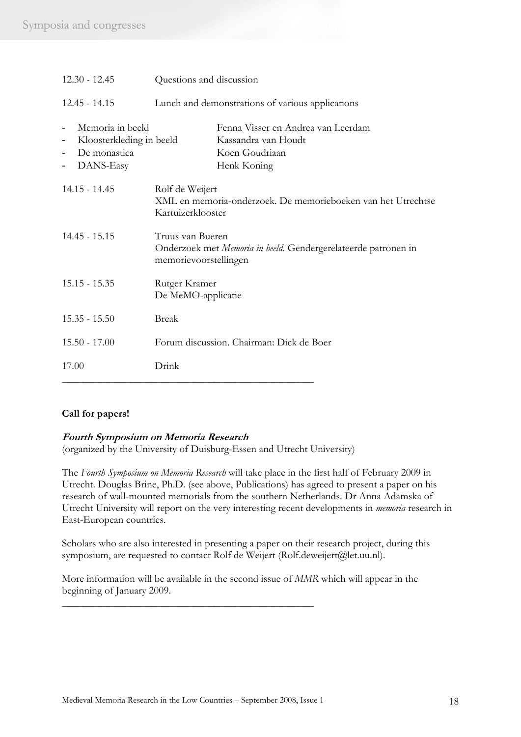| $12.30 - 12.45$                                                           | Questions and discussion                                                                                    |  |
|---------------------------------------------------------------------------|-------------------------------------------------------------------------------------------------------------|--|
| $12.45 - 14.15$                                                           | Lunch and demonstrations of various applications                                                            |  |
| Memoria in beeld<br>Kloosterkleding in beeld<br>De monastica<br>DANS-Easy | Fenna Visser en Andrea van Leerdam<br>Kassandra van Houdt<br>Koen Goudriaan<br>Henk Koning                  |  |
| $14.15 - 14.45$                                                           | Rolf de Weijert<br>XML en memoria-onderzoek. De memorieboeken van het Utrechtse<br>Kartuizerklooster        |  |
| $14.45 - 15.15$                                                           | Truus van Bueren<br>Onderzoek met Memoria in beeld. Gendergerelateerde patronen in<br>memorievoorstellingen |  |
| $15.15 - 15.35$                                                           | Rutger Kramer<br>De MeMO-applicatie                                                                         |  |
| $15.35 - 15.50$                                                           | <b>Break</b>                                                                                                |  |
| $15.50 - 17.00$                                                           | Forum discussion. Chairman: Dick de Boer                                                                    |  |
| 17.00                                                                     | Drink                                                                                                       |  |

# **Call for papers!**

# **Fourth Symposium on Memoria Research**

(organized by the University of Duisburg-Essen and Utrecht University)

The *Fourth Symposium on Memoria Research* will take place in the first half of February 2009 in Utrecht. Douglas Brine, Ph.D. (see above, Publications) has agreed to present a paper on his research of wall-mounted memorials from the southern Netherlands. Dr Anna Adamska of Utrecht University will report on the very interesting recent developments in *memoria* research in East-European countries.

Scholars who are also interested in presenting a paper on their research project, during this symposium, are requested to contact Rolf de Weijert (Rolf.deweijert@let.uu.nl).

More information will be available in the second issue of *MMR* which will appear in the beginning of January 2009.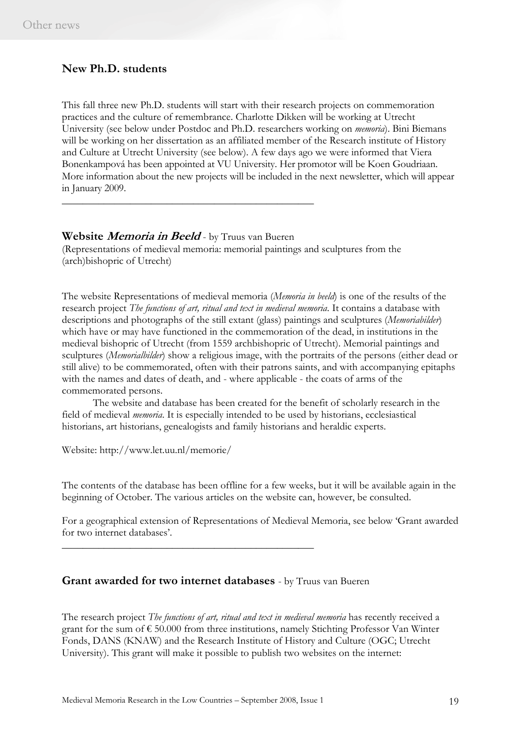# **New Ph.D. students**

This fall three new Ph.D. students will start with their research projects on commemoration practices and the culture of remembrance. Charlotte Dikken will be working at Utrecht University (see below under Postdoc and Ph.D. researchers working on *memoria*). Bini Biemans will be working on her dissertation as an affiliated member of the Research institute of History and Culture at Utrecht University (see below). A few days ago we were informed that Viera Bonenkampová has been appointed at VU University. Her promotor will be Koen Goudriaan. More information about the new projects will be included in the next newsletter, which will appear in January 2009.

# **Website Memoria in Beeld** - by Truus van Bueren

\_\_\_\_\_\_\_\_\_\_\_\_\_\_\_\_\_\_\_\_\_\_\_\_\_\_\_\_\_\_\_\_\_\_\_\_\_\_\_\_\_\_\_\_\_\_\_\_

(Representations of medieval memoria: memorial paintings and sculptures from the (arch)bishopric of Utrecht)

The website Representations of medieval memoria (*Memoria in beeld*) is one of the results of the research project *The functions of art, ritual and text in medieval memoria*. It contains a database with descriptions and photographs of the still extant (glass) paintings and sculptures (*Memoriabilder*) which have or may have functioned in the commemoration of the dead, in institutions in the medieval bishopric of Utrecht (from 1559 archbishopric of Utrecht). Memorial paintings and sculptures (*Memorialbilder*) show a religious image, with the portraits of the persons (either dead or still alive) to be commemorated, often with their patrons saints, and with accompanying epitaphs with the names and dates of death, and - where applicable - the coats of arms of the commemorated persons.

The website and database has been created for the benefit of scholarly research in the field of medieval *memoria*. It is especially intended to be used by historians, ecclesiastical historians, art historians, genealogists and family historians and heraldic experts.

Website: http://www.let.uu.nl/memorie/

The contents of the database has been offline for a few weeks, but it will be available again in the beginning of October. The various articles on the website can, however, be consulted.

For a geographical extension of Representations of Medieval Memoria, see below 'Grant awarded for two internet databases'.

# **Grant awarded for two internet databases** - by Truus van Bueren

\_\_\_\_\_\_\_\_\_\_\_\_\_\_\_\_\_\_\_\_\_\_\_\_\_\_\_\_\_\_\_\_\_\_\_\_\_\_\_\_\_\_\_\_\_\_\_\_

The research project *The functions of art, ritual and text in medieval memoria* has recently received a grant for the sum of  $\epsilon$  50.000 from three institutions, namely Stichting Professor Van Winter Fonds, DANS (KNAW) and the Research Institute of History and Culture (OGC; Utrecht University). This grant will make it possible to publish two websites on the internet: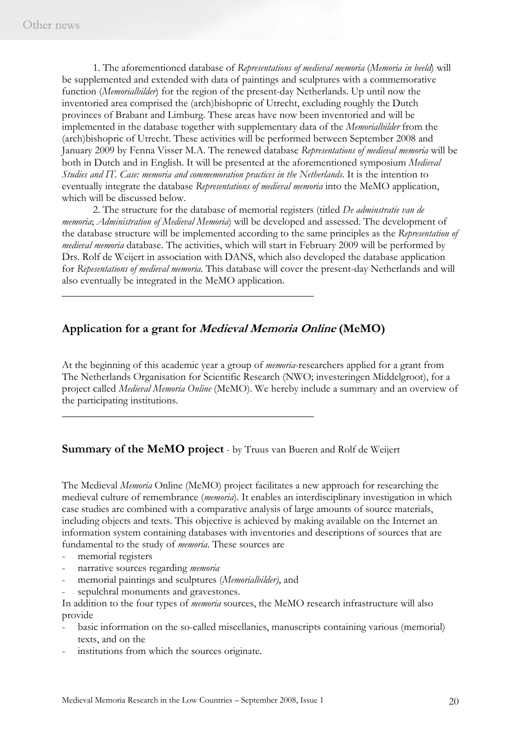1. The aforementioned database of *Representations of medieval memoria* (*Memoria in beeld*) will be supplemented and extended with data of paintings and sculptures with a commemorative function (*Memorialbilder*) for the region of the present-day Netherlands. Up until now the inventoried area comprised the (arch)bishopric of Utrecht, excluding roughly the Dutch provinces of Brabant and Limburg. These areas have now been inventoried and will be implemented in the database together with supplementary data of the *Memorialbilder* from the (arch)bishopric of Utrecht. These activities will be performed between September 2008 and January 2009 by Fenna Visser M.A. The renewed database *Representations of medieval memoria* will be both in Dutch and in English. It will be presented at the aforementioned symposium *Medieval Studies and IT. Case: memoria and commemoration practices in the Netherlands*. It is the intention to eventually integrate the database *Representations of medieval memoria* into the MeMO application, which will be discussed below.

 2. The structure for the database of memorial registers (titled *De adminstratie van de memoria*; *Administration of Medieval Memoria*) will be developed and assessed. The development of the database structure will be implemented according to the same principles as the *Representation of medieval memoria* database. The activities, which will start in February 2009 will be performed by Drs. Rolf de Weijert in association with DANS, which also developed the database application for *Repesentations of medieval memoria*. This database will cover the present-day Netherlands and will also eventually be integrated in the MeMO application.

# **Application for a grant for Medieval Memoria Online (MeMO)**

\_\_\_\_\_\_\_\_\_\_\_\_\_\_\_\_\_\_\_\_\_\_\_\_\_\_\_\_\_\_\_\_\_\_\_\_\_\_\_\_\_\_\_\_\_\_\_\_

\_\_\_\_\_\_\_\_\_\_\_\_\_\_\_\_\_\_\_\_\_\_\_\_\_\_\_\_\_\_\_\_\_\_\_\_\_\_\_\_\_\_\_\_\_\_\_\_

At the beginning of this academic year a group of *memoria*-researchers applied for a grant from The Netherlands Organisation for Scientific Research (NWO; investeringen Middelgroot), for a project called *Medieval Memoria Online* (MeMO). We hereby include a summary and an overview of the participating institutions.

# **Summary of the MeMO project** - by Truus van Bueren and Rolf de Weijert

The Medieval *Memoria* Online (MeMO) project facilitates a new approach for researching the medieval culture of remembrance (*memoria*). It enables an interdisciplinary investigation in which case studies are combined with a comparative analysis of large amounts of source materials, including objects and texts. This objective is achieved by making available on the Internet an information system containing databases with inventories and descriptions of sources that are fundamental to the study of *memoria*. These sources are

- memorial registers
- narrative sources regarding *memoria*
- memorial paintings and sculptures (*Memorialbilder*), and
- sepulchral monuments and gravestones.

In addition to the four types of *memoria* sources, the MeMO research infrastructure will also provide

- basic information on the so-called miscellanies, manuscripts containing various (memorial) texts, and on the
- institutions from which the sources originate.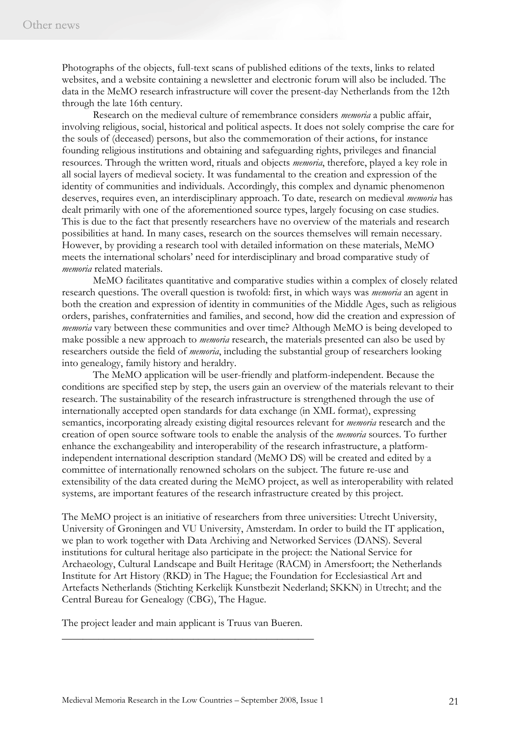Photographs of the objects, full-text scans of published editions of the texts, links to related websites, and a website containing a newsletter and electronic forum will also be included. The data in the MeMO research infrastructure will cover the present-day Netherlands from the 12th through the late 16th century.

 Research on the medieval culture of remembrance considers *memoria* a public affair, involving religious, social, historical and political aspects. It does not solely comprise the care for the souls of (deceased) persons, but also the commemoration of their actions, for instance founding religious institutions and obtaining and safeguarding rights, privileges and financial resources. Through the written word, rituals and objects *memoria*, therefore, played a key role in all social layers of medieval society. It was fundamental to the creation and expression of the identity of communities and individuals. Accordingly, this complex and dynamic phenomenon deserves, requires even, an interdisciplinary approach. To date, research on medieval *memoria* has dealt primarily with one of the aforementioned source types, largely focusing on case studies. This is due to the fact that presently researchers have no overview of the materials and research possibilities at hand. In many cases, research on the sources themselves will remain necessary. However, by providing a research tool with detailed information on these materials, MeMO meets the international scholars' need for interdisciplinary and broad comparative study of *memoria* related materials.

 MeMO facilitates quantitative and comparative studies within a complex of closely related research questions. The overall question is twofold: first, in which ways was *memoria* an agent in both the creation and expression of identity in communities of the Middle Ages, such as religious orders, parishes, confraternities and families, and second, how did the creation and expression of *memoria* vary between these communities and over time? Although MeMO is being developed to make possible a new approach to *memoria* research, the materials presented can also be used by researchers outside the field of *memoria*, including the substantial group of researchers looking into genealogy, family history and heraldry.

 The MeMO application will be user-friendly and platform-independent. Because the conditions are specified step by step, the users gain an overview of the materials relevant to their research. The sustainability of the research infrastructure is strengthened through the use of internationally accepted open standards for data exchange (in XML format), expressing semantics, incorporating already existing digital resources relevant for *memoria* research and the creation of open source software tools to enable the analysis of the *memoria* sources. To further enhance the exchangeability and interoperability of the research infrastructure, a platformindependent international description standard (MeMO DS) will be created and edited by a committee of internationally renowned scholars on the subject. The future re-use and extensibility of the data created during the MeMO project, as well as interoperability with related systems, are important features of the research infrastructure created by this project.

The MeMO project is an initiative of researchers from three universities: Utrecht University, University of Groningen and VU University, Amsterdam. In order to build the IT application, we plan to work together with Data Archiving and Networked Services (DANS). Several institutions for cultural heritage also participate in the project: the National Service for Archaeology, Cultural Landscape and Built Heritage (RACM) in Amersfoort; the Netherlands Institute for Art History (RKD) in The Hague; the Foundation for Ecclesiastical Art and Artefacts Netherlands (Stichting Kerkelijk Kunstbezit Nederland; SKKN) in Utrecht; and the Central Bureau for Genealogy (CBG), The Hague.

The project leader and main applicant is Truus van Bueren.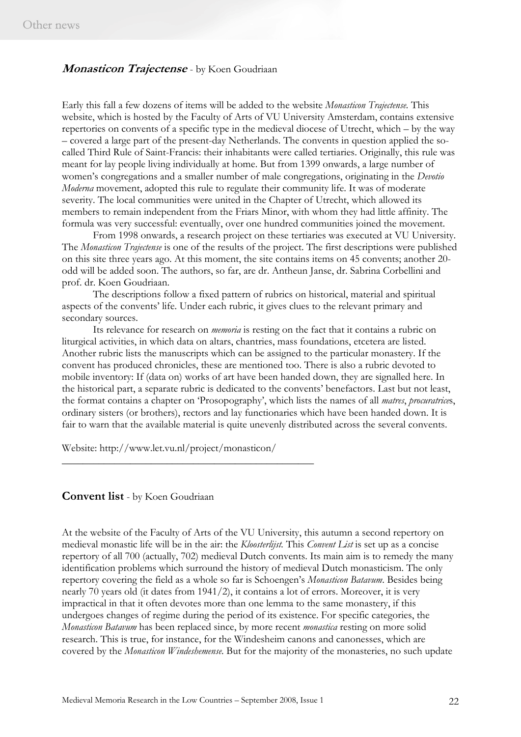# **Monasticon Trajectense** - by Koen Goudriaan

Early this fall a few dozens of items will be added to the website *Monasticon Trajectense.* This website, which is hosted by the Faculty of Arts of VU University Amsterdam, contains extensive repertories on convents of a specific type in the medieval diocese of Utrecht, which – by the way – covered a large part of the present-day Netherlands. The convents in question applied the socalled Third Rule of Saint-Francis: their inhabitants were called tertiaries. Originally, this rule was meant for lay people living individually at home. But from 1399 onwards, a large number of women's congregations and a smaller number of male congregations, originating in the *Devotio Moderna* movement, adopted this rule to regulate their community life. It was of moderate severity. The local communities were united in the Chapter of Utrecht, which allowed its members to remain independent from the Friars Minor, with whom they had little affinity. The formula was very successful: eventually, over one hundred communities joined the movement.

From 1998 onwards, a research project on these tertiaries was executed at VU University. The *Monasticon Trajectense* is one of the results of the project. The first descriptions were published on this site three years ago. At this moment, the site contains items on 45 convents; another 20 odd will be added soon. The authors, so far, are dr. Antheun Janse, dr. Sabrina Corbellini and prof. dr. Koen Goudriaan.

The descriptions follow a fixed pattern of rubrics on historical, material and spiritual aspects of the convents' life. Under each rubric, it gives clues to the relevant primary and secondary sources.

Its relevance for research on *memoria* is resting on the fact that it contains a rubric on liturgical activities, in which data on altars, chantries, mass foundations, etcetera are listed. Another rubric lists the manuscripts which can be assigned to the particular monastery. If the convent has produced chronicles, these are mentioned too. There is also a rubric devoted to mobile inventory: If (data on) works of art have been handed down, they are signalled here. In the historical part, a separate rubric is dedicated to the convents' benefactors. Last but not least, the format contains a chapter on 'Prosopography', which lists the names of all *matres*, *procuratrice*s, ordinary sisters (or brothers), rectors and lay functionaries which have been handed down. It is fair to warn that the available material is quite unevenly distributed across the several convents.

Website: http://www.let.vu.nl/project/monasticon/

\_\_\_\_\_\_\_\_\_\_\_\_\_\_\_\_\_\_\_\_\_\_\_\_\_\_\_\_\_\_\_\_\_\_\_\_\_\_\_\_\_\_\_\_\_\_\_\_

#### **Convent list** - by Koen Goudriaan

At the website of the Faculty of Arts of the VU University, this autumn a second repertory on medieval monastic life will be in the air: the *Kloosterlijst.* This *Convent List* is set up as a concise repertory of all 700 (actually, 702) medieval Dutch convents. Its main aim is to remedy the many identification problems which surround the history of medieval Dutch monasticism. The only repertory covering the field as a whole so far is Schoengen's *Monasticon Batavum*. Besides being nearly 70 years old (it dates from 1941/2), it contains a lot of errors. Moreover, it is very impractical in that it often devotes more than one lemma to the same monastery, if this undergoes changes of regime during the period of its existence. For specific categories, the *Monasticon Batavum* has been replaced since, by more recent *monastica* resting on more solid research. This is true, for instance, for the Windesheim canons and canonesses, which are covered by the *Monasticon Windeshemense*. But for the majority of the monasteries, no such update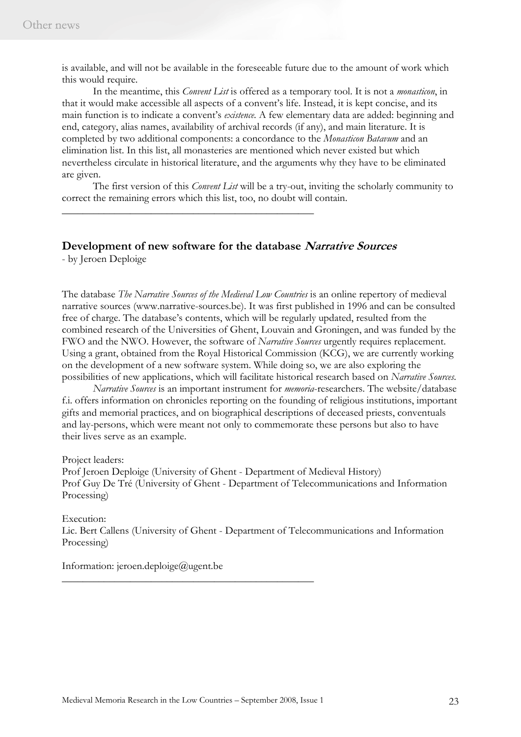is available, and will not be available in the foreseeable future due to the amount of work which this would require.

In the meantime, this *Convent List* is offered as a temporary tool. It is not a *monasticon*, in that it would make accessible all aspects of a convent's life. Instead, it is kept concise, and its main function is to indicate a convent's *existence*. A few elementary data are added: beginning and end, category, alias names, availability of archival records (if any), and main literature. It is completed by two additional components: a concordance to the *Monasticon Batavum* and an elimination list. In this list, all monasteries are mentioned which never existed but which nevertheless circulate in historical literature, and the arguments why they have to be eliminated are given.

The first version of this *Convent List* will be a try-out, inviting the scholarly community to correct the remaining errors which this list, too, no doubt will contain.

# **Development of new software for the database Narrative Sources**

\_\_\_\_\_\_\_\_\_\_\_\_\_\_\_\_\_\_\_\_\_\_\_\_\_\_\_\_\_\_\_\_\_\_\_\_\_\_\_\_\_\_\_\_\_\_\_\_

- by Jeroen Deploige

The database *The Narrative Sources of the Medieval Low Countries* is an online repertory of medieval narrative sources (www.narrative-sources.be). It was first published in 1996 and can be consulted free of charge. The database's contents, which will be regularly updated, resulted from the combined research of the Universities of Ghent, Louvain and Groningen, and was funded by the FWO and the NWO. However, the software of *Narrative Sources* urgently requires replacement. Using a grant, obtained from the Royal Historical Commission (KCG), we are currently working on the development of a new software system. While doing so, we are also exploring the possibilities of new applications, which will facilitate historical research based on *Narrative Sources*.

*Narrative Sources* is an important instrument for *memoria*-researchers. The website/database f.i. offers information on chronicles reporting on the founding of religious institutions, important gifts and memorial practices, and on biographical descriptions of deceased priests, conventuals and lay-persons, which were meant not only to commemorate these persons but also to have their lives serve as an example.

Project leaders:

Prof Jeroen Deploige (University of Ghent - Department of Medieval History) Prof Guy De Tré (University of Ghent - Department of Telecommunications and Information Processing)

Execution: Lic. Bert Callens (University of Ghent - Department of Telecommunications and Information Processing)

Information: jeroen.deploige@ugent.be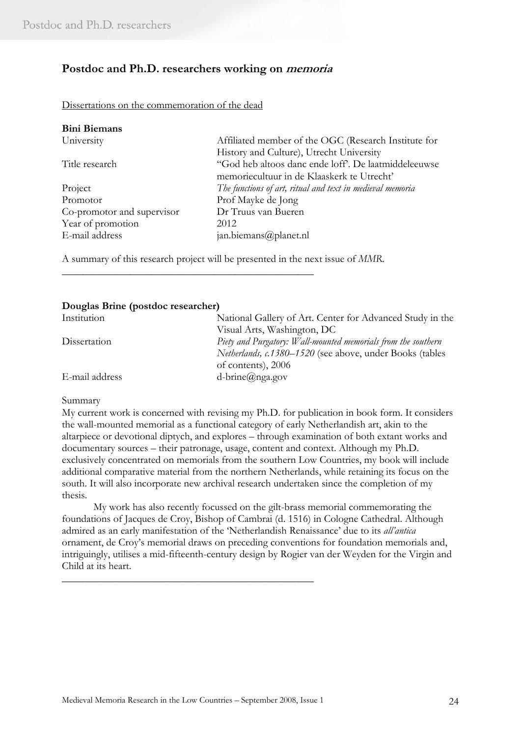# **Postdoc and Ph.D. researchers working on memoria**

Dissertations on the commemoration of the dead

| <b>Bini Biemans</b>        |                                                           |
|----------------------------|-----------------------------------------------------------|
| University                 | Affiliated member of the OGC (Research Institute for      |
|                            | History and Culture), Utrecht University                  |
| Title research             | "God heb altoos danc ende loff'. De laatmiddeleeuwse      |
|                            | memoriecultuur in de Klaaskerk te Utrecht'                |
| Project                    | The functions of art, ritual and text in medieval memoria |
| Promotor                   | Prof Mayke de Jong                                        |
| Co-promotor and supervisor | Dr Truus van Bueren                                       |
| Year of promotion          | 2012                                                      |
| E-mail address             | jan.biemans@planet.nl                                     |

A summary of this research project will be presented in the next issue of *MMR*.

\_\_\_\_\_\_\_\_\_\_\_\_\_\_\_\_\_\_\_\_\_\_\_\_\_\_\_\_\_\_\_\_\_\_\_\_\_\_\_\_\_\_\_\_\_\_\_\_

#### **Douglas Brine (postdoc researcher)**

| Institution    | National Gallery of Art. Center for Advanced Study in the       |
|----------------|-----------------------------------------------------------------|
|                | Visual Arts, Washington, DC                                     |
| Dissertation   | Piety and Purgatory: Wall-mounted memorials from the southern   |
|                | <i>Netherlands, c.1380–1520</i> (see above, under Books (tables |
|                | of contents), 2006                                              |
| E-mail address | $d\text{-}brine(a)$ nga.gov                                     |

#### Summary

My current work is concerned with revising my Ph.D. for publication in book form. It considers the wall-mounted memorial as a functional category of early Netherlandish art, akin to the altarpiece or devotional diptych, and explores – through examination of both extant works and documentary sources – their patronage, usage, content and context. Although my Ph.D. exclusively concentrated on memorials from the southern Low Countries, my book will include additional comparative material from the northern Netherlands, while retaining its focus on the south. It will also incorporate new archival research undertaken since the completion of my thesis.

My work has also recently focussed on the gilt-brass memorial commemorating the foundations of Jacques de Croy, Bishop of Cambrai (d. 1516) in Cologne Cathedral. Although admired as an early manifestation of the 'Netherlandish Renaissance' due to its *all'antica*  ornament, de Croy's memorial draws on preceding conventions for foundation memorials and, intriguingly, utilises a mid-fifteenth-century design by Rogier van der Weyden for the Virgin and Child at its heart.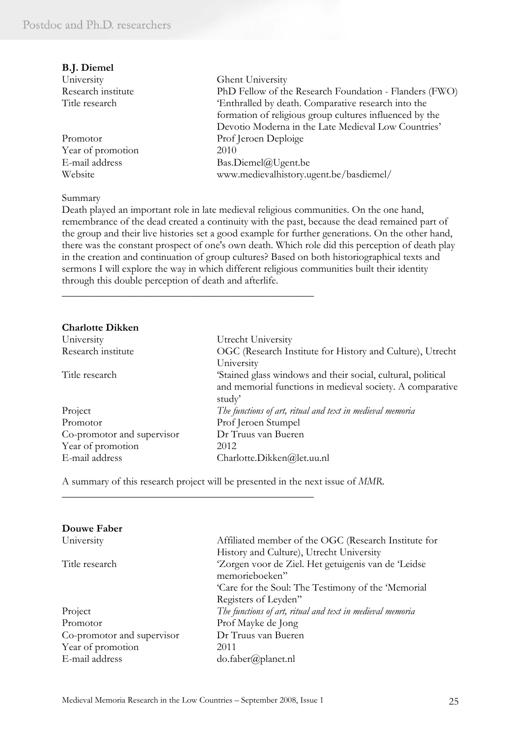| <b>B.J. Diemel</b> |                                                         |
|--------------------|---------------------------------------------------------|
| University         | Ghent University                                        |
| Research institute | PhD Fellow of the Research Foundation - Flanders (FWO)  |
| Title research     | 'Enthralled by death. Comparative research into the     |
|                    | formation of religious group cultures influenced by the |
|                    | Devotio Moderna in the Late Medieval Low Countries'     |
| Promotor           | Prof Jeroen Deploige                                    |
| Year of promotion  | 2010                                                    |
| E-mail address     | Bas.Diemel@Ugent.be                                     |
| Website            | www.medievalhistory.ugent.be/basdiemel/                 |

#### Summary

Death played an important role in late medieval religious communities. On the one hand, remembrance of the dead created a continuity with the past, because the dead remained part of the group and their live histories set a good example for further generations. On the other hand, there was the constant prospect of one's own death. Which role did this perception of death play in the creation and continuation of group cultures? Based on both historiographical texts and sermons I will explore the way in which different religious communities built their identity through this double perception of death and afterlife.

#### **Charlotte Dikken**

| University                 | Utrecht University                                           |
|----------------------------|--------------------------------------------------------------|
| Research institute         | OGC (Research Institute for History and Culture), Utrecht    |
|                            | University                                                   |
| Title research             | 'Stained glass windows and their social, cultural, political |
|                            | and memorial functions in medieval society. A comparative    |
|                            | study'                                                       |
| Project                    | The functions of art, ritual and text in medieval memoria    |
| Promotor                   | Prof Jeroen Stumpel                                          |
| Co-promotor and supervisor | Dr Truus van Bueren                                          |
| Year of promotion          | 2012                                                         |
| E-mail address             | Charlotte.Dikken@let.uu.nl                                   |

A summary of this research project will be presented in the next issue of *MMR*.

\_\_\_\_\_\_\_\_\_\_\_\_\_\_\_\_\_\_\_\_\_\_\_\_\_\_\_\_\_\_\_\_\_\_\_\_\_\_\_\_\_\_\_\_\_\_\_\_

| Douwe Faber                |                                                           |
|----------------------------|-----------------------------------------------------------|
| University                 | Affiliated member of the OGC (Research Institute for      |
|                            | History and Culture), Utrecht University                  |
| Title research             | 'Zorgen voor de Ziel. Het getuigenis van de 'Leidse       |
|                            | memorieboeken"                                            |
|                            | 'Care for the Soul: The Testimony of the 'Memorial'       |
|                            | Registers of Leyden"                                      |
| Project                    | The functions of art, ritual and text in medieval memoria |
| Promotor                   | Prof Mayke de Jong                                        |
| Co-promotor and supervisor | Dr Truus van Bueren                                       |
| Year of promotion          | 2011                                                      |
| E-mail address             | do.faber(a) planet.nl                                     |
|                            |                                                           |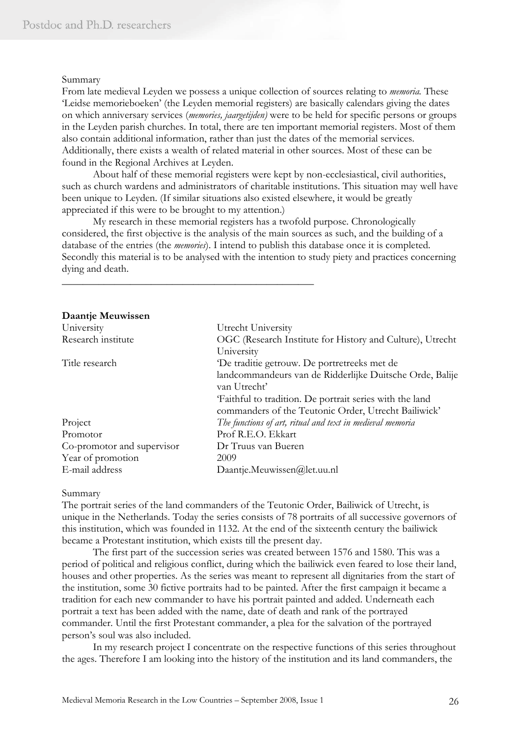#### Summary

From late medieval Leyden we possess a unique collection of sources relating to *memoria.* These 'Leidse memorieboeken' (the Leyden memorial registers) are basically calendars giving the dates on which anniversary services (*memories, jaargetijden)* were to be held for specific persons or groups in the Leyden parish churches. In total, there are ten important memorial registers. Most of them also contain additional information, rather than just the dates of the memorial services. Additionally, there exists a wealth of related material in other sources. Most of these can be found in the Regional Archives at Leyden.

 About half of these memorial registers were kept by non-ecclesiastical, civil authorities, such as church wardens and administrators of charitable institutions. This situation may well have been unique to Leyden. (If similar situations also existed elsewhere, it would be greatly appreciated if this were to be brought to my attention.)

My research in these memorial registers has a twofold purpose. Chronologically considered, the first objective is the analysis of the main sources as such, and the building of a database of the entries (the *memories*). I intend to publish this database once it is completed. Secondly this material is to be analysed with the intention to study piety and practices concerning dying and death.

\_\_\_\_\_\_\_\_\_\_\_\_\_\_\_\_\_\_\_\_\_\_\_\_\_\_\_\_\_\_\_\_\_\_\_\_\_\_\_\_\_\_\_\_\_\_\_\_

| Daantje Meuwissen          |                                                           |
|----------------------------|-----------------------------------------------------------|
| University                 | Utrecht University                                        |
| Research institute         | OGC (Research Institute for History and Culture), Utrecht |
|                            | University                                                |
| Title research             | De traditie getrouw. De portretreeks met de               |
|                            | landcommandeurs van de Ridderlijke Duitsche Orde, Balije  |
|                            | van Utrecht'                                              |
|                            | 'Faithful to tradition. De portrait series with the land  |
|                            | commanders of the Teutonic Order, Utrecht Bailiwick'      |
| Project                    | The functions of art, ritual and text in medieval memoria |
| Promotor                   | Prof R.E.O. Ekkart                                        |
| Co-promotor and supervisor | Dr Truus van Bueren                                       |
| Year of promotion          | 2009                                                      |
| E-mail address             | Daantje.Meuwissen@let.uu.nl                               |

#### Summary

The portrait series of the land commanders of the Teutonic Order, Bailiwick of Utrecht, is unique in the Netherlands. Today the series consists of 78 portraits of all successive governors of this institution, which was founded in 1132. At the end of the sixteenth century the bailiwick became a Protestant institution, which exists till the present day.

 The first part of the succession series was created between 1576 and 1580. This was a period of political and religious conflict, during which the bailiwick even feared to lose their land, houses and other properties. As the series was meant to represent all dignitaries from the start of the institution, some 30 fictive portraits had to be painted. After the first campaign it became a tradition for each new commander to have his portrait painted and added. Underneath each portrait a text has been added with the name, date of death and rank of the portrayed commander. Until the first Protestant commander, a plea for the salvation of the portrayed person's soul was also included.

 In my research project I concentrate on the respective functions of this series throughout the ages. Therefore I am looking into the history of the institution and its land commanders, the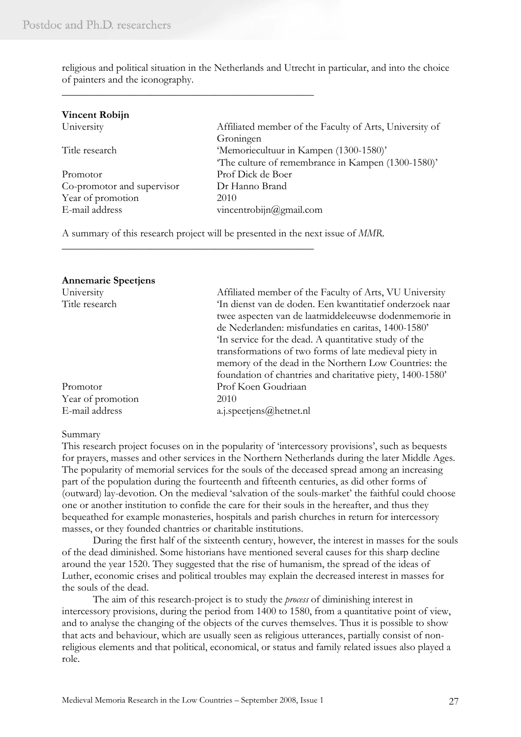religious and political situation in the Netherlands and Utrecht in particular, and into the choice of painters and the iconography.

| <b>Vincent Robijn</b>      |                                                         |
|----------------------------|---------------------------------------------------------|
| University                 | Affiliated member of the Faculty of Arts, University of |
|                            | Groningen                                               |
| Title research             | 'Memoriecultuur in Kampen (1300-1580)'                  |
|                            | The culture of remembrance in Kampen (1300-1580)'       |
| Promotor                   | Prof Dick de Boer                                       |
| Co-promotor and supervisor | Dr Hanno Brand                                          |
| Year of promotion          | 2010                                                    |
| E-mail address             | vincentrobijn@gmail.com                                 |
|                            |                                                         |

A summary of this research project will be presented in the next issue of *MMR*.

\_\_\_\_\_\_\_\_\_\_\_\_\_\_\_\_\_\_\_\_\_\_\_\_\_\_\_\_\_\_\_\_\_\_\_\_\_\_\_\_\_\_\_\_\_\_\_\_

\_\_\_\_\_\_\_\_\_\_\_\_\_\_\_\_\_\_\_\_\_\_\_\_\_\_\_\_\_\_\_\_\_\_\_\_\_\_\_\_\_\_\_\_\_\_\_\_

| <b>Annemarie Spectiens</b> |                                                           |
|----------------------------|-----------------------------------------------------------|
| University                 | Affiliated member of the Faculty of Arts, VU University   |
| Title research             | In dienst van de doden. Een kwantitatief onderzoek naar   |
|                            | twee aspecten van de laatmiddeleeuwse dodenmemorie in     |
|                            | de Nederlanden: misfundaties en caritas, 1400-1580'       |
|                            | In service for the dead. A quantitative study of the      |
|                            | transformations of two forms of late medieval piety in    |
|                            | memory of the dead in the Northern Low Countries: the     |
|                            | foundation of chantries and charitative piety, 1400-1580' |
| Promotor                   | Prof Koen Goudriaan                                       |
| Year of promotion          | 2010                                                      |
| E-mail address             | a.j.speetjens@hetnet.nl                                   |

#### Summary

This research project focuses on in the popularity of 'intercessory provisions', such as bequests for prayers, masses and other services in the Northern Netherlands during the later Middle Ages. The popularity of memorial services for the souls of the deceased spread among an increasing part of the population during the fourteenth and fifteenth centuries, as did other forms of (outward) lay-devotion. On the medieval 'salvation of the souls-market' the faithful could choose one or another institution to confide the care for their souls in the hereafter, and thus they bequeathed for example monasteries, hospitals and parish churches in return for intercessory masses, or they founded chantries or charitable institutions.

During the first half of the sixteenth century, however, the interest in masses for the souls of the dead diminished. Some historians have mentioned several causes for this sharp decline around the year 1520. They suggested that the rise of humanism, the spread of the ideas of Luther, economic crises and political troubles may explain the decreased interest in masses for the souls of the dead.

The aim of this research-project is to study the *process* of diminishing interest in intercessory provisions, during the period from 1400 to 1580, from a quantitative point of view, and to analyse the changing of the objects of the curves themselves. Thus it is possible to show that acts and behaviour, which are usually seen as religious utterances, partially consist of nonreligious elements and that political, economical, or status and family related issues also played a role.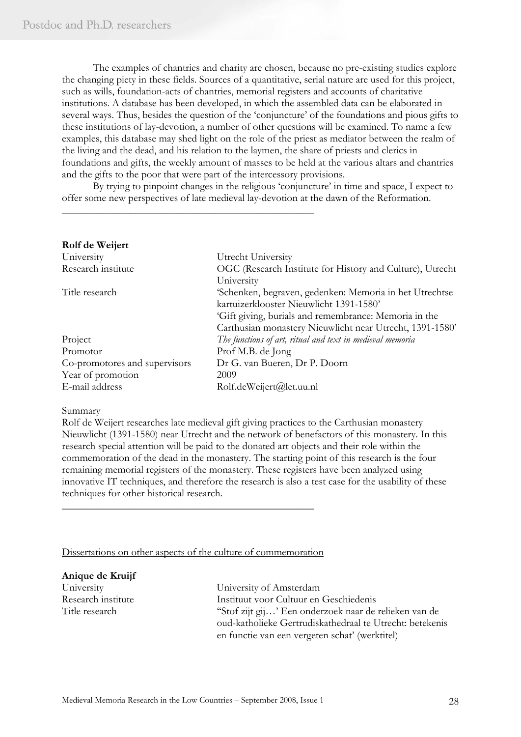The examples of chantries and charity are chosen, because no pre-existing studies explore the changing piety in these fields. Sources of a quantitative, serial nature are used for this project, such as wills, foundation-acts of chantries, memorial registers and accounts of charitative institutions. A database has been developed, in which the assembled data can be elaborated in several ways. Thus, besides the question of the 'conjuncture' of the foundations and pious gifts to these institutions of lay-devotion, a number of other questions will be examined. To name a few examples, this database may shed light on the role of the priest as mediator between the realm of the living and the dead, and his relation to the laymen, the share of priests and clerics in foundations and gifts, the weekly amount of masses to be held at the various altars and chantries and the gifts to the poor that were part of the intercessory provisions.

By trying to pinpoint changes in the religious 'conjuncture' in time and space, I expect to offer some new perspectives of late medieval lay-devotion at the dawn of the Reformation.

\_\_\_\_\_\_\_\_\_\_\_\_\_\_\_\_\_\_\_\_\_\_\_\_\_\_\_\_\_\_\_\_\_\_\_\_\_\_\_\_\_\_\_\_\_\_\_\_

| Rolf de Weijert               |                                                           |
|-------------------------------|-----------------------------------------------------------|
| University                    | Utrecht University                                        |
| Research institute            | OGC (Research Institute for History and Culture), Utrecht |
|                               | University                                                |
| Title research                | 'Schenken, begraven, gedenken: Memoria in het Utrechtse   |
|                               | kartuizerklooster Nieuwlicht 1391-1580'                   |
|                               | 'Gift giving, burials and remembrance: Memoria in the     |
|                               | Carthusian monastery Nieuwlicht near Utrecht, 1391-1580'  |
| Project                       | The functions of art, ritual and text in medieval memoria |
| Promotor                      | Prof M.B. de Jong                                         |
| Co-promotores and supervisors | Dr G. van Bueren, Dr P. Doorn                             |
| Year of promotion             | 2009                                                      |
| E-mail address                | Rolf.deWeijert@let.uu.nl                                  |

#### Summary

Rolf de Weijert researches late medieval gift giving practices to the Carthusian monastery Nieuwlicht (1391-1580) near Utrecht and the network of benefactors of this monastery. In this research special attention will be paid to the donated art objects and their role within the commemoration of the dead in the monastery. The starting point of this research is the four remaining memorial registers of the monastery. These registers have been analyzed using innovative IT techniques, and therefore the research is also a test case for the usability of these techniques for other historical research.

## Dissertations on other aspects of the culture of commemoration

\_\_\_\_\_\_\_\_\_\_\_\_\_\_\_\_\_\_\_\_\_\_\_\_\_\_\_\_\_\_\_\_\_\_\_\_\_\_\_\_\_\_\_\_\_\_\_\_

# **Anique de Kruijf**

University University of Amsterdam Research institute Instituut voor Cultuur en Geschiedenis Title research "Stof zijt gij...' Een onderzoek naar de relieken van de oud-katholieke Gertrudiskathedraal te Utrecht: betekenis en functie van een vergeten schat' (werktitel)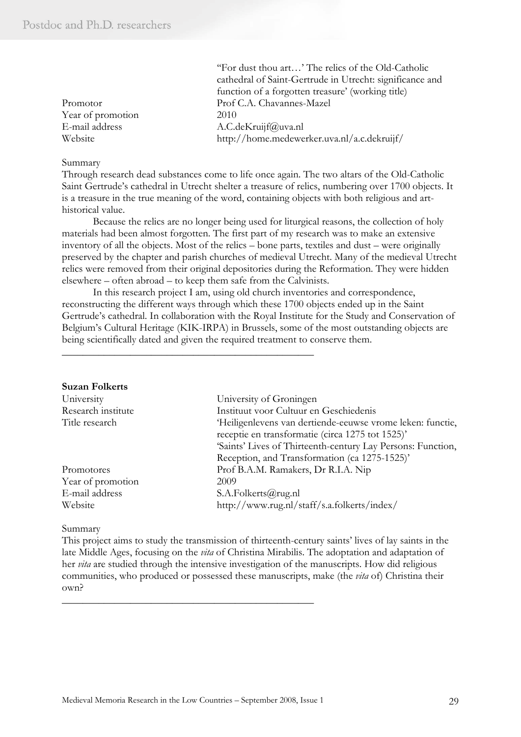|                   | "For dust thou art' The relics of the Old-Catholic       |
|-------------------|----------------------------------------------------------|
|                   | cathedral of Saint-Gertrude in Utrecht: significance and |
|                   | function of a forgotten treasure' (working title)        |
| Promotor          | Prof C.A. Chavannes-Mazel                                |
| Year of promotion | 2010                                                     |
| E-mail address    | A.C.deKruijf@uva.nl                                      |
| Website           | http://home.medewerker.uva.nl/a.c.dekruijf/              |

#### Summary

Through research dead substances come to life once again. The two altars of the Old-Catholic Saint Gertrude's cathedral in Utrecht shelter a treasure of relics, numbering over 1700 objects. It is a treasure in the true meaning of the word, containing objects with both religious and arthistorical value.

Because the relics are no longer being used for liturgical reasons, the collection of holy materials had been almost forgotten. The first part of my research was to make an extensive inventory of all the objects. Most of the relics – bone parts, textiles and dust – were originally preserved by the chapter and parish churches of medieval Utrecht. Many of the medieval Utrecht relics were removed from their original depositories during the Reformation. They were hidden elsewhere – often abroad – to keep them safe from the Calvinists.

In this research project I am, using old church inventories and correspondence, reconstructing the different ways through which these 1700 objects ended up in the Saint Gertrude's cathedral. In collaboration with the Royal Institute for the Study and Conservation of Belgium's Cultural Heritage (KIK-IRPA) in Brussels, some of the most outstanding objects are being scientifically dated and given the required treatment to conserve them.

## **Suzan Folkerts**

| University         | University of Groningen                                     |
|--------------------|-------------------------------------------------------------|
| Research institute | Instituut voor Cultuur en Geschiedenis                      |
| Title research     | 'Heiligenlevens van dertiende-eeuwse vrome leken: functie,  |
|                    | receptie en transformatie (circa 1275 tot 1525)'            |
|                    | 'Saints' Lives of Thirteenth-century Lay Persons: Function, |
|                    | Reception, and Transformation (ca 1275-1525)'               |
| Promotores         | Prof B.A.M. Ramakers, Dr R.I.A. Nip                         |
| Year of promotion  | 2009                                                        |
| E-mail address     | S.A.Folkerts@rug.nl                                         |
| Website            | http://www.rug.nl/staff/s.a.folkerts/index/                 |

#### Summary

This project aims to study the transmission of thirteenth-century saints' lives of lay saints in the late Middle Ages, focusing on the *vita* of Christina Mirabilis. The adoptation and adaptation of her *vita* are studied through the intensive investigation of the manuscripts. How did religious communities, who produced or possessed these manuscripts, make (the *vita* of) Christina their own?

\_\_\_\_\_\_\_\_\_\_\_\_\_\_\_\_\_\_\_\_\_\_\_\_\_\_\_\_\_\_\_\_\_\_\_\_\_\_\_\_\_\_\_\_\_\_\_\_